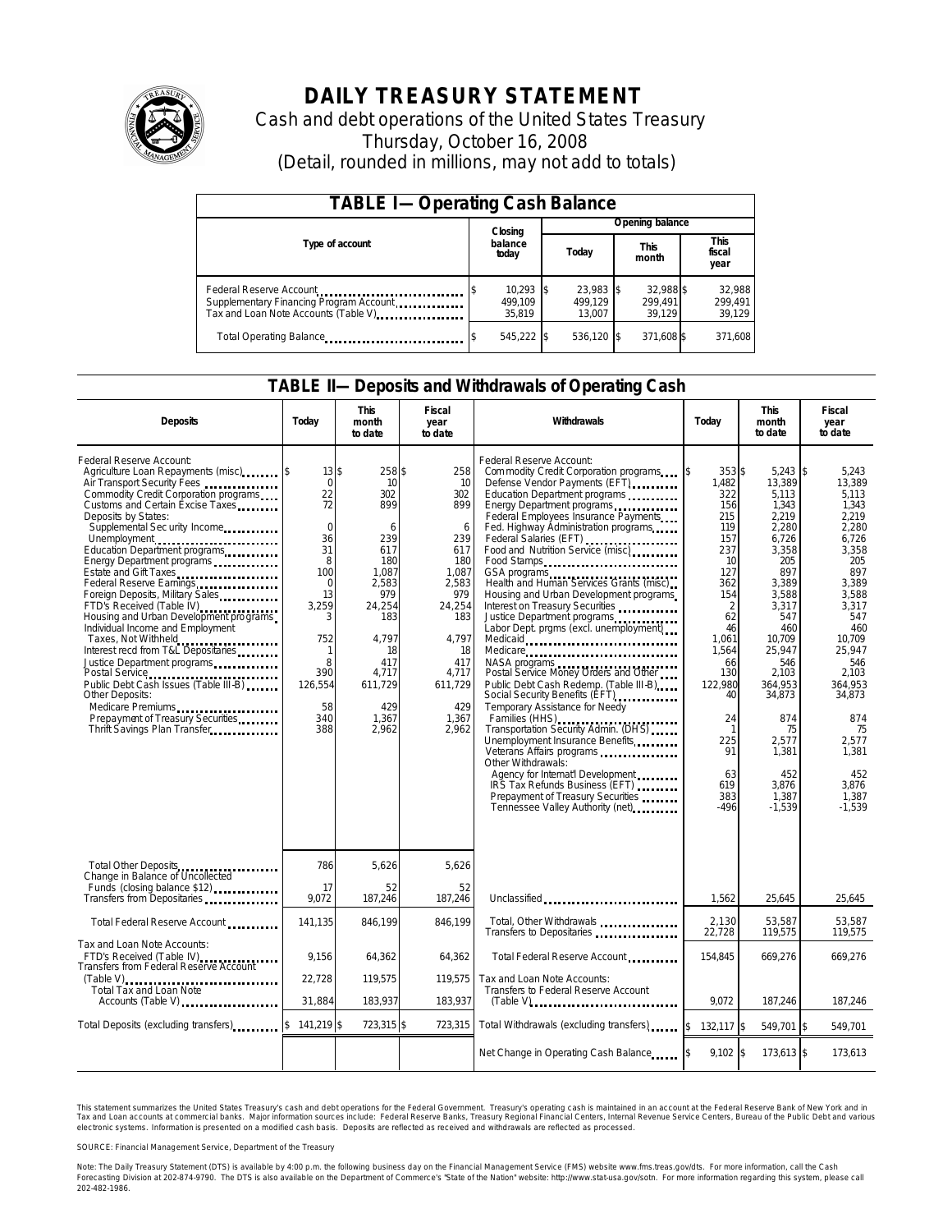

# **DAILY TREASURY STATEMENT**

Cash and debt operations of the United States Treasury Thursday, October 16, 2008 (Detail, rounded in millions, may not add to totals)

| <b>TABLE I-Operating Cash Balance</b>                                                                      |                                  |                                |                                |                             |  |  |  |
|------------------------------------------------------------------------------------------------------------|----------------------------------|--------------------------------|--------------------------------|-----------------------------|--|--|--|
|                                                                                                            | Closing                          | Opening balance                |                                |                             |  |  |  |
| Type of account                                                                                            | balance<br>today                 | Today                          | This<br>month                  | This<br>fiscal<br>year      |  |  |  |
| Federal Reserve Account<br>Supplementary Financing Program Account<br>Tax and Loan Note Accounts (Table V) | $10,293$ \$<br>499.109<br>35.819 | 23,983 \$<br>499.129<br>13.007 | 32.988 \$<br>299.491<br>39.129 | 32,988<br>299,491<br>39,129 |  |  |  |
| Total Operating Balance                                                                                    | 545,222 \$                       | 536,120 \$                     | 371,608 \$                     | 371,608                     |  |  |  |

### **TABLE II—Deposits and Withdrawals of Operating Cash**

| <b>Deposits</b>                                                                                                                                                                                                                                                                                                                                                                                                                                                                                                                                                                                                                                                                                                                                                      | Today                                                                                                                                                | <b>This</b><br>month<br>to date                                                                                                                                   | Fiscal<br>year<br>to date                                                                                                                                      | Withdrawals                                                                                                                                                                                                                                                                                                                                                                                                                                                                                                                                                                                                                                                                                                                                                                                                                                                                                                                                                                                                                                                               | Today                                                                                                                                                                                                                       | This<br>month<br>to date                                                                                                                                                                                                                                       | Fiscal<br>year<br>to date                                                                                                                                                                                                                                 |
|----------------------------------------------------------------------------------------------------------------------------------------------------------------------------------------------------------------------------------------------------------------------------------------------------------------------------------------------------------------------------------------------------------------------------------------------------------------------------------------------------------------------------------------------------------------------------------------------------------------------------------------------------------------------------------------------------------------------------------------------------------------------|------------------------------------------------------------------------------------------------------------------------------------------------------|-------------------------------------------------------------------------------------------------------------------------------------------------------------------|----------------------------------------------------------------------------------------------------------------------------------------------------------------|---------------------------------------------------------------------------------------------------------------------------------------------------------------------------------------------------------------------------------------------------------------------------------------------------------------------------------------------------------------------------------------------------------------------------------------------------------------------------------------------------------------------------------------------------------------------------------------------------------------------------------------------------------------------------------------------------------------------------------------------------------------------------------------------------------------------------------------------------------------------------------------------------------------------------------------------------------------------------------------------------------------------------------------------------------------------------|-----------------------------------------------------------------------------------------------------------------------------------------------------------------------------------------------------------------------------|----------------------------------------------------------------------------------------------------------------------------------------------------------------------------------------------------------------------------------------------------------------|-----------------------------------------------------------------------------------------------------------------------------------------------------------------------------------------------------------------------------------------------------------|
| Federal Reserve Account:<br>Air Transport Security Fees<br>Commodity Credit Corporation programs<br>Customs and Certain Excise Taxes<br>Deposits by States:<br>Supplemental Sec urity Income<br>Unemployment<br>Education Department programs<br>Energy Department programs<br>Estate and Gift Taxes<br><br>Federal Reserve Earnings<br>Foreign Deposits, Military Sales<br>FTD's Received (Table IV)<br>Housing and Urban Development programs<br>Individual Income and Employment<br>Taxes, Not Withheld<br>Interest recd from T&L Depositaries<br>Justice Department programs<br>Postal Service<br>Public Debt Cash Issues (Table III-B) [19]<br><b>Other Deposits:</b><br>Medicare Premiums<br>Prepayment of Treasury Securities<br>Thrift Savings Plan Transfer | $13$ \$<br>$\mathbf 0$<br>22<br>72<br>$\mathbf 0$<br>36<br>31<br>8<br>100<br>0<br>13<br>3.259<br>3<br>752<br>8<br>390<br>126,554<br>58<br>340<br>388 | 258 \$<br>10<br>302<br>899<br>6<br>239<br>617<br>180<br>1.087<br>2,583<br>979<br>24.254<br>183<br>4.797<br>18<br>417<br>4,717<br>611.729<br>429<br>1,367<br>2,962 | 258<br>10<br>302<br>899<br>6<br>239<br>617<br>180<br>1.087<br>2,583<br>979<br>24,254<br>183<br>4.797<br>18<br>417<br>4,717<br>611,729<br>429<br>1,367<br>2,962 | Federal Reserve Account:<br>Com modity Credit Corporation programs<br>Defense Vendor Payments (EFT)<br>Education Department programs<br>Energy Department programs<br>Federal Employees Insurance Payments<br>Fed. Highway Administration programs<br>Federal Salaries (EFT)<br>Food and Nutrition Service (misc)<br>Food Stamps<br>GSA programs<br>Health and Human Services Grants (misc)<br>Housing and Urban Development programs<br>Interest on Treasury Securities<br>Justice Department programs<br>Labor Dept. prgms (excl. unemployment)<br>Medicaid<br>Medicare<br>NASA programs<br>Postal Service Money Orders and Other<br>Public Debt Cash Redemp. (Table III-B)<br>Social Security Benefits (EFT)<br>Temporary Assistance for Needy<br>Families (HHS)<br>Transportation Security Admin. (DHS)<br>Unemployment Insurance Benefits<br>Veterans Affairs programs<br>Other Withdrawals:<br>Agency for Internat'l Development<br>IRS Tax Refunds Business (EFT)<br>Prepayment of Treasury Securities<br>Tennessee Valley Authority (net) <b>Tennessee</b> Valley | $353$ \$<br>1.482<br>322<br>156<br>215<br>119<br>157<br>237<br>10<br>127<br>362<br>154<br>$\overline{2}$<br>62<br>46<br>1,061<br>1.564<br>66<br>130<br>122.980<br>40<br>24<br>-1<br>225<br>91<br>63<br>619<br>383<br>$-496$ | $5,243$ \$<br>13.389<br>5.113<br>1,343<br>2,219<br>2,280<br>6.726<br>3.358<br>205<br>897<br>3,389<br>3.588<br>3.317<br>547<br>460<br>10,709<br>25.947<br>546<br>2,103<br>364.953<br>34,873<br>874<br>75<br>2.577<br>1,381<br>452<br>3,876<br>1.387<br>$-1,539$ | 5,243<br>13.389<br>5.113<br>1,343<br>2.219<br>2.280<br>6.726<br>3.358<br>205<br>897<br>3,389<br>3.588<br>3.317<br>547<br>460<br>10,709<br>25.947<br>546<br>2,103<br>364.953<br>34,873<br>874<br>75<br>2.577<br>1.381<br>452<br>3,876<br>1.387<br>$-1.539$ |
| Total Other Deposits<br>Change in Balance of Uncollected                                                                                                                                                                                                                                                                                                                                                                                                                                                                                                                                                                                                                                                                                                             | 786                                                                                                                                                  | 5,626                                                                                                                                                             | 5,626                                                                                                                                                          |                                                                                                                                                                                                                                                                                                                                                                                                                                                                                                                                                                                                                                                                                                                                                                                                                                                                                                                                                                                                                                                                           |                                                                                                                                                                                                                             |                                                                                                                                                                                                                                                                |                                                                                                                                                                                                                                                           |
| Funds (closing balance \$12)<br>Transfers from Depositaries                                                                                                                                                                                                                                                                                                                                                                                                                                                                                                                                                                                                                                                                                                          | 17<br>9.072                                                                                                                                          | 52<br>187,246                                                                                                                                                     | 52<br>187,246                                                                                                                                                  | Unclassified                                                                                                                                                                                                                                                                                                                                                                                                                                                                                                                                                                                                                                                                                                                                                                                                                                                                                                                                                                                                                                                              | 1,562                                                                                                                                                                                                                       | 25,645                                                                                                                                                                                                                                                         | 25,645                                                                                                                                                                                                                                                    |
| Total Federal Reserve Account                                                                                                                                                                                                                                                                                                                                                                                                                                                                                                                                                                                                                                                                                                                                        | 141.135                                                                                                                                              | 846.199                                                                                                                                                           | 846,199                                                                                                                                                        | Total, Other Withdrawals<br>Transfers to Depositaries                                                                                                                                                                                                                                                                                                                                                                                                                                                                                                                                                                                                                                                                                                                                                                                                                                                                                                                                                                                                                     | 2,130<br>22,728                                                                                                                                                                                                             | 53,587<br>119,575                                                                                                                                                                                                                                              | 53.587<br>119,575                                                                                                                                                                                                                                         |
| Tax and Loan Note Accounts:<br>FTD's Received (Table IV)<br>Transfers from Federal Reserve Account                                                                                                                                                                                                                                                                                                                                                                                                                                                                                                                                                                                                                                                                   | 9,156                                                                                                                                                | 64,362                                                                                                                                                            | 64,362                                                                                                                                                         | Total Federal Reserve Account                                                                                                                                                                                                                                                                                                                                                                                                                                                                                                                                                                                                                                                                                                                                                                                                                                                                                                                                                                                                                                             | 154.845                                                                                                                                                                                                                     | 669,276                                                                                                                                                                                                                                                        | 669,276                                                                                                                                                                                                                                                   |
| $(Table V)$<br>Total Tax and Loan Note<br>Accounts (Table V) <b>Accounts</b> (Table V)                                                                                                                                                                                                                                                                                                                                                                                                                                                                                                                                                                                                                                                                               | 22,728<br>31,884                                                                                                                                     | 119.575<br>183,937                                                                                                                                                | 119.575<br>183,937                                                                                                                                             | Tax and Loan Note Accounts:<br>Transfers to Federal Reserve Account<br>$(Table V)$ ,                                                                                                                                                                                                                                                                                                                                                                                                                                                                                                                                                                                                                                                                                                                                                                                                                                                                                                                                                                                      | 9.072                                                                                                                                                                                                                       | 187,246                                                                                                                                                                                                                                                        | 187.246                                                                                                                                                                                                                                                   |
| Total Deposits (excluding transfers)                                                                                                                                                                                                                                                                                                                                                                                                                                                                                                                                                                                                                                                                                                                                 | 141,219 \$                                                                                                                                           | 723,315 \$                                                                                                                                                        | 723,315                                                                                                                                                        | Total Withdrawals (excluding transfers)                                                                                                                                                                                                                                                                                                                                                                                                                                                                                                                                                                                                                                                                                                                                                                                                                                                                                                                                                                                                                                   | 1\$<br>132,117 \$                                                                                                                                                                                                           | 549,701 \$                                                                                                                                                                                                                                                     | 549,701                                                                                                                                                                                                                                                   |
|                                                                                                                                                                                                                                                                                                                                                                                                                                                                                                                                                                                                                                                                                                                                                                      |                                                                                                                                                      |                                                                                                                                                                   |                                                                                                                                                                | Net Change in Operating Cash Balance 5                                                                                                                                                                                                                                                                                                                                                                                                                                                                                                                                                                                                                                                                                                                                                                                                                                                                                                                                                                                                                                    | $9,102$ \$                                                                                                                                                                                                                  | 173,613 \$                                                                                                                                                                                                                                                     | 173,613                                                                                                                                                                                                                                                   |

This statement summarizes the United States Treasury's cash and debt operations for the Federal Government. Treasury's operating cash is maintained in an account at the Federal Reserve Bank of New York and in<br>Tax and Loan electronic systems. Information is presented on a modified cash basis. Deposits are reflected as received and withdrawals are reflected as processed.

SOURCE: Financial Management Service, Department of the Treasury

Note: The Daily Treasury Statement (DTS) is available by 4:00 p.m. the following business day on the Financial Management Service (FMS) website www.fms.treas.gov/dts. For more information, call the Cash Forecasting Division at 202-874-9790. The DTS is also available on the Department of Commerce's "State of the Nation" website: http://www.stat-usa.gov/sotn. For more information regarding this system, please call<br>202-482-1